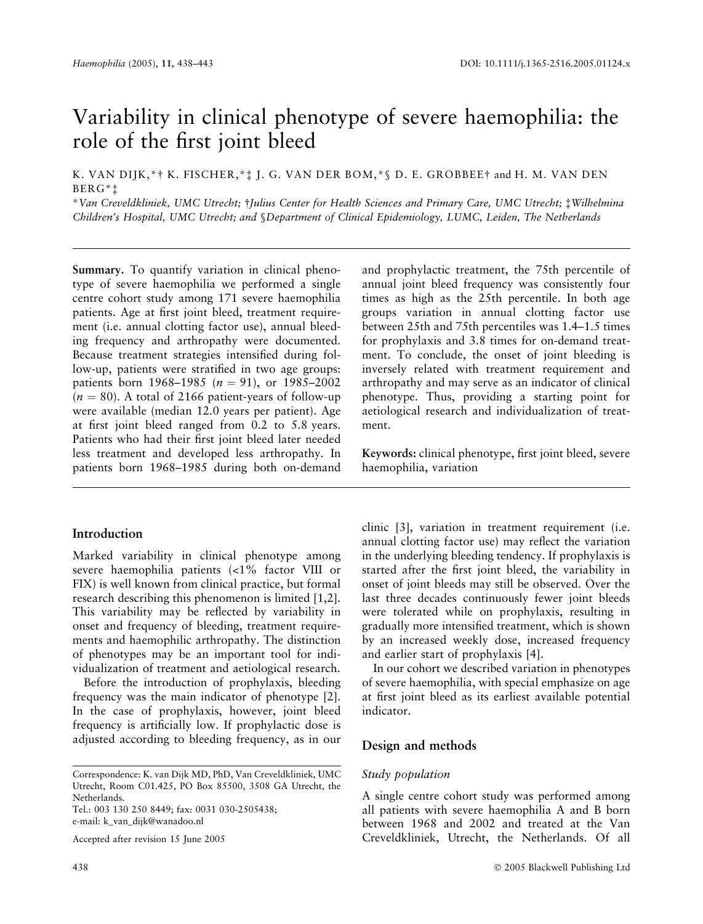# Variability in clinical phenotype of severe haemophilia: the role of the first joint bleed

K. VAN DIJK,\*† K. FISCHER,\*‡ J. G. VAN DER BOM,\*§ D. E. GROBBEE† and H. M. VAN DEN BERG\*‡

\*Van Creveldkliniek, UMC Utrecht; †Julius Center for Health Sciences and Primary Care, UMC Utrecht; ‡Wilhelmina Children's Hospital, UMC Utrecht; and §Department of Clinical Epidemiology, LUMC, Leiden, The Netherlands

Summary. To quantify variation in clinical phenotype of severe haemophilia we performed a single centre cohort study among 171 severe haemophilia patients. Age at first joint bleed, treatment requirement (i.e. annual clotting factor use), annual bleeding frequency and arthropathy were documented. Because treatment strategies intensified during follow-up, patients were stratified in two age groups: patients born 1968–1985 ( $n = 91$ ), or 1985–2002  $(n = 80)$ . A total of 2166 patient-years of follow-up were available (median 12.0 years per patient). Age at first joint bleed ranged from 0.2 to 5.8 years. Patients who had their first joint bleed later needed less treatment and developed less arthropathy. In patients born 1968–1985 during both on-demand

# Introduction

Marked variability in clinical phenotype among severe haemophilia patients (<1% factor VIII or FIX) is well known from clinical practice, but formal research describing this phenomenon is limited [1,2]. This variability may be reflected by variability in onset and frequency of bleeding, treatment requirements and haemophilic arthropathy. The distinction of phenotypes may be an important tool for individualization of treatment and aetiological research.

Before the introduction of prophylaxis, bleeding frequency was the main indicator of phenotype [2]. In the case of prophylaxis, however, joint bleed frequency is artificially low. If prophylactic dose is adjusted according to bleeding frequency, as in our

Tel.: 003 130 250 8449; fax: 0031 030-2505438; e-mail: k\_van\_dijk@wanadoo.nl

Accepted after revision 15 June 2005

and prophylactic treatment, the 75th percentile of annual joint bleed frequency was consistently four times as high as the 25th percentile. In both age groups variation in annual clotting factor use between 25th and 75th percentiles was 1.4–1.5 times for prophylaxis and 3.8 times for on-demand treatment. To conclude, the onset of joint bleeding is inversely related with treatment requirement and arthropathy and may serve as an indicator of clinical phenotype. Thus, providing a starting point for aetiological research and individualization of treatment.

Keywords: clinical phenotype, first joint bleed, severe haemophilia, variation

clinic [3], variation in treatment requirement (i.e. annual clotting factor use) may reflect the variation in the underlying bleeding tendency. If prophylaxis is started after the first joint bleed, the variability in onset of joint bleeds may still be observed. Over the last three decades continuously fewer joint bleeds were tolerated while on prophylaxis, resulting in gradually more intensified treatment, which is shown by an increased weekly dose, increased frequency and earlier start of prophylaxis [4].

In our cohort we described variation in phenotypes of severe haemophilia, with special emphasize on age at first joint bleed as its earliest available potential indicator.

# Design and methods

# Study population

A single centre cohort study was performed among all patients with severe haemophilia A and B born between 1968 and 2002 and treated at the Van Creveldkliniek, Utrecht, the Netherlands. Of all

Correspondence: K. van Dijk MD, PhD, Van Creveldkliniek, UMC Utrecht, Room C01.425, PO Box 85500, 3508 GA Utrecht, the Netherlands.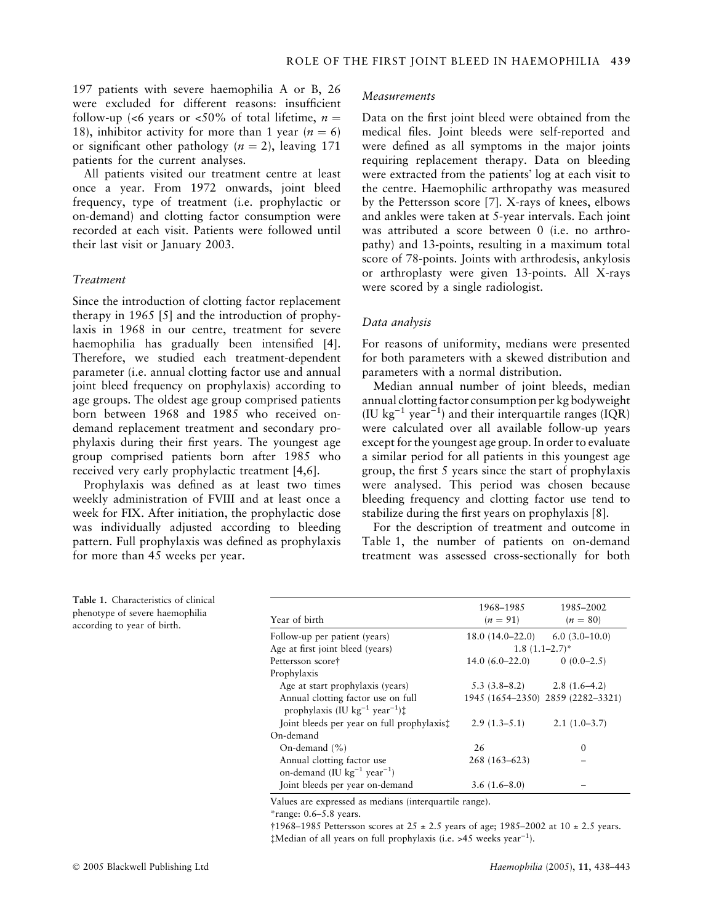197 patients with severe haemophilia A or B, 26 were excluded for different reasons: insufficient follow-up (<6 years or <50% of total lifetime,  $n =$ 18), inhibitor activity for more than 1 year ( $n = 6$ ) or significant other pathology ( $n = 2$ ), leaving 171 patients for the current analyses.

All patients visited our treatment centre at least once a year. From 1972 onwards, joint bleed frequency, type of treatment (i.e. prophylactic or on-demand) and clotting factor consumption were recorded at each visit. Patients were followed until their last visit or January 2003.

#### Treatment

Since the introduction of clotting factor replacement therapy in 1965 [5] and the introduction of prophylaxis in 1968 in our centre, treatment for severe haemophilia has gradually been intensified [4]. Therefore, we studied each treatment-dependent parameter (i.e. annual clotting factor use and annual joint bleed frequency on prophylaxis) according to age groups. The oldest age group comprised patients born between 1968 and 1985 who received ondemand replacement treatment and secondary prophylaxis during their first years. The youngest age group comprised patients born after 1985 who received very early prophylactic treatment [4,6].

Prophylaxis was defined as at least two times weekly administration of FVIII and at least once a week for FIX. After initiation, the prophylactic dose was individually adjusted according to bleeding pattern. Full prophylaxis was defined as prophylaxis for more than 45 weeks per year.

Measurements

Data on the first joint bleed were obtained from the medical files. Joint bleeds were self-reported and were defined as all symptoms in the major joints requiring replacement therapy. Data on bleeding were extracted from the patients' log at each visit to the centre. Haemophilic arthropathy was measured by the Pettersson score [7]. X-rays of knees, elbows and ankles were taken at 5-year intervals. Each joint was attributed a score between 0 (i.e. no arthropathy) and 13-points, resulting in a maximum total score of 78-points. Joints with arthrodesis, ankylosis or arthroplasty were given 13-points. All X-rays were scored by a single radiologist.

#### Data analysis

For reasons of uniformity, medians were presented for both parameters with a skewed distribution and parameters with a normal distribution.

Median annual number of joint bleeds, median annual clotting factor consumption per kg bodyweight (IU kg<sup>-1</sup> year<sup>-1</sup>) and their interquartile ranges (IQR) were calculated over all available follow-up years except for the youngest age group. In order to evaluate a similar period for all patients in this youngest age group, the first 5 years since the start of prophylaxis were analysed. This period was chosen because bleeding frequency and clotting factor use tend to stabilize during the first years on prophylaxis [8].

For the description of treatment and outcome in Table 1, the number of patients on on-demand treatment was assessed cross-sectionally for both

Table 1. Characteristics of clinical phenotype of severe haemophilia according to year of birth.

|                                                                                                        | 1968–1985                     | 1985-2002                         |
|--------------------------------------------------------------------------------------------------------|-------------------------------|-----------------------------------|
| Year of birth                                                                                          | $(n = 91)$                    | $(n = 80)$                        |
| Follow-up per patient (years)                                                                          | $18.0(14.0-22.0)$             | $6.0(3.0-10.0)$                   |
| Age at first joint bleed (years)                                                                       | $1.8(1.1-2.7)^*$              |                                   |
| Pettersson score†                                                                                      | $14.0(6.0-22.0)$              | $0(0.0-2.5)$                      |
| Prophylaxis                                                                                            |                               |                                   |
| Age at start prophylaxis (years)                                                                       | $5.3(3.8-8.2)$ $2.8(1.6-4.2)$ |                                   |
| Annual clotting factor use on full<br>prophylaxis (IU kg <sup>-1</sup> year <sup>-1</sup> ) $\ddagger$ |                               | 1945 (1654-2350) 2859 (2282-3321) |
| Joint bleeds per year on full prophylaxis:                                                             | $2.9(1.3-5.1)$                | $2.1(1.0-3.7)$                    |
| On-demand                                                                                              |                               |                                   |
| On-demand $(\% )$                                                                                      | 26                            | $\Omega$                          |
| Annual clotting factor use<br>on-demand (IU $\text{kg}^{-1}$ year <sup>-1</sup> )                      | $268(163-623)$                |                                   |
| Joint bleeds per year on-demand                                                                        | $3.6(1.6-8.0)$                |                                   |

Values are expressed as medians (interquartile range).

\*range: 0.6–5.8 years.

 $\dagger$ 1968–1985 Pettersson scores at 25 ± 2.5 years of age; 1985–2002 at 10 ± 2.5 years.  $\ddagger$ Median of all years on full prophylaxis (i.e. >45 weeks year<sup>-1</sup>).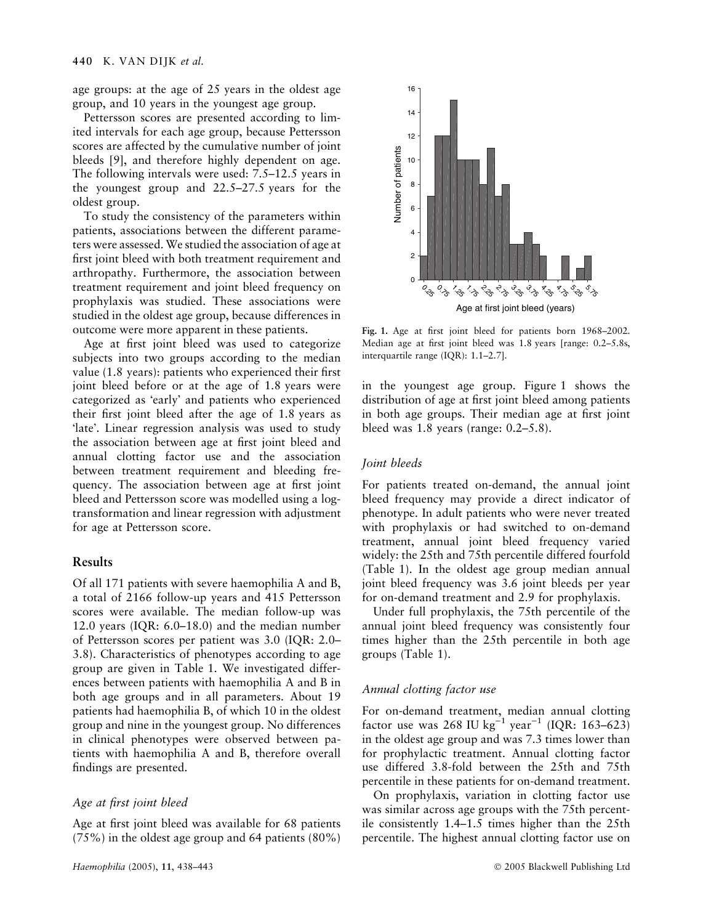age groups: at the age of 25 years in the oldest age group, and 10 years in the youngest age group.

Pettersson scores are presented according to limited intervals for each age group, because Pettersson scores are affected by the cumulative number of joint bleeds [9], and therefore highly dependent on age. The following intervals were used: 7.5–12.5 years in the youngest group and 22.5–27.5 years for the oldest group.

To study the consistency of the parameters within patients, associations between the different parameters were assessed. We studied the association of age at first joint bleed with both treatment requirement and arthropathy. Furthermore, the association between treatment requirement and joint bleed frequency on prophylaxis was studied. These associations were studied in the oldest age group, because differences in outcome were more apparent in these patients.

Age at first joint bleed was used to categorize subjects into two groups according to the median value (1.8 years): patients who experienced their first joint bleed before or at the age of 1.8 years were categorized as 'early' and patients who experienced their first joint bleed after the age of 1.8 years as late. Linear regression analysis was used to study the association between age at first joint bleed and annual clotting factor use and the association between treatment requirement and bleeding frequency. The association between age at first joint bleed and Pettersson score was modelled using a logtransformation and linear regression with adjustment for age at Pettersson score.

## Results

Of all 171 patients with severe haemophilia A and B, a total of 2166 follow-up years and 415 Pettersson scores were available. The median follow-up was 12.0 years (IQR: 6.0–18.0) and the median number of Pettersson scores per patient was 3.0 (IQR: 2.0– 3.8). Characteristics of phenotypes according to age group are given in Table 1. We investigated differences between patients with haemophilia A and B in both age groups and in all parameters. About 19 patients had haemophilia B, of which 10 in the oldest group and nine in the youngest group. No differences in clinical phenotypes were observed between patients with haemophilia A and B, therefore overall findings are presented.

#### Age at first joint bleed

Age at first joint bleed was available for 68 patients (75%) in the oldest age group and 64 patients (80%)



Fig. 1. Age at first joint bleed for patients born 1968–2002. Median age at first joint bleed was 1.8 years [range: 0.2–5.8s, interquartile range (IQR): 1.1–2.7].

in the youngest age group. Figure 1 shows the distribution of age at first joint bleed among patients in both age groups. Their median age at first joint bleed was 1.8 years (range: 0.2–5.8).

#### Joint bleeds

For patients treated on-demand, the annual joint bleed frequency may provide a direct indicator of phenotype. In adult patients who were never treated with prophylaxis or had switched to on-demand treatment, annual joint bleed frequency varied widely: the 25th and 75th percentile differed fourfold (Table 1). In the oldest age group median annual joint bleed frequency was 3.6 joint bleeds per year for on-demand treatment and 2.9 for prophylaxis.

Under full prophylaxis, the 75th percentile of the annual joint bleed frequency was consistently four times higher than the 25th percentile in both age groups (Table 1).

#### Annual clotting factor use

For on-demand treatment, median annual clotting factor use was 268 IU kg<sup>-1</sup> year<sup>-1</sup> (IQR: 163–623) in the oldest age group and was 7.3 times lower than for prophylactic treatment. Annual clotting factor use differed 3.8-fold between the 25th and 75th percentile in these patients for on-demand treatment.

On prophylaxis, variation in clotting factor use was similar across age groups with the 75th percentile consistently 1.4–1.5 times higher than the 25th percentile. The highest annual clotting factor use on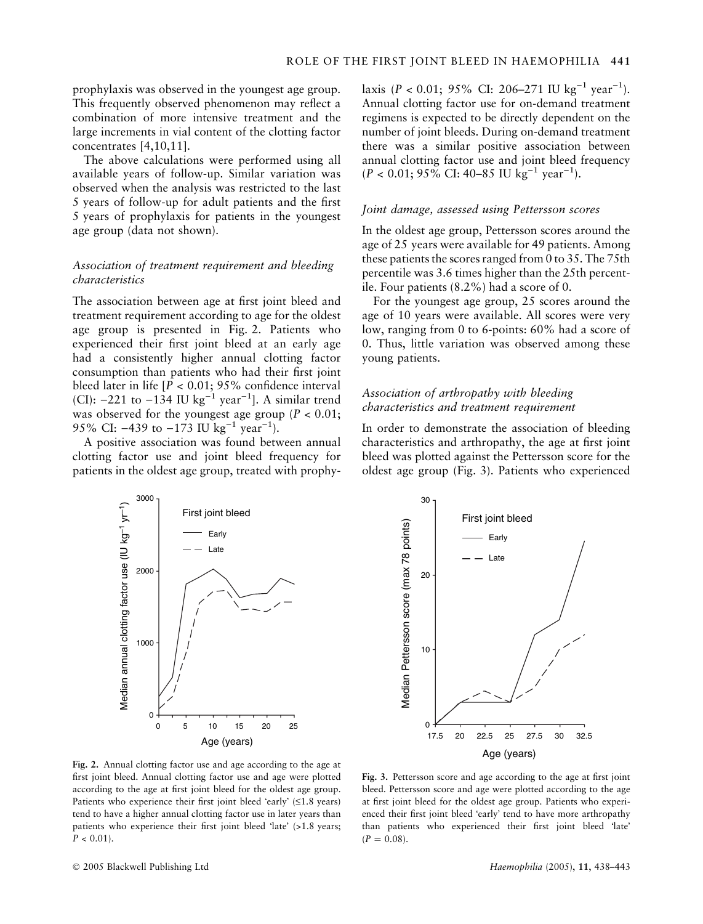prophylaxis was observed in the youngest age group. This frequently observed phenomenon may reflect a combination of more intensive treatment and the large increments in vial content of the clotting factor concentrates [4,10,11].

The above calculations were performed using all available years of follow-up. Similar variation was observed when the analysis was restricted to the last 5 years of follow-up for adult patients and the first 5 years of prophylaxis for patients in the youngest age group (data not shown).

## Association of treatment requirement and bleeding characteristics

The association between age at first joint bleed and treatment requirement according to age for the oldest age group is presented in Fig. 2. Patients who experienced their first joint bleed at an early age had a consistently higher annual clotting factor consumption than patients who had their first joint bleed later in life  $[P < 0.01; 95\%$  confidence interval (CI):  $-221$  to  $-134$  IU kg<sup>-1</sup> year<sup>-1</sup>]. A similar trend was observed for the youngest age group ( $P < 0.01$ ; 95% CI:  $-439$  to  $-173$  IU kg<sup>-1</sup> year<sup>-1</sup>).

A positive association was found between annual clotting factor use and joint bleed frequency for patients in the oldest age group, treated with prophy-



laxis (P < 0.01; 95% CI: 206-271 IU kg<sup>-1</sup> year<sup>-1</sup>). Annual clotting factor use for on-demand treatment regimens is expected to be directly dependent on the number of joint bleeds. During on-demand treatment there was a similar positive association between annual clotting factor use and joint bleed frequency  $(P < 0.01; 95\% \text{ CI: } 40-85 \text{ IU kg}^{-1} \text{ year}^{-1}).$ 

#### Joint damage, assessed using Pettersson scores

In the oldest age group, Pettersson scores around the age of 25 years were available for 49 patients. Among these patients the scores ranged from 0 to 35. The 75th percentile was 3.6 times higher than the 25th percentile. Four patients (8.2%) had a score of 0.

For the youngest age group, 25 scores around the age of 10 years were available. All scores were very low, ranging from 0 to 6-points: 60% had a score of 0. Thus, little variation was observed among these young patients.

# Association of arthropathy with bleeding characteristics and treatment requirement

In order to demonstrate the association of bleeding characteristics and arthropathy, the age at first joint bleed was plotted against the Pettersson score for the oldest age group (Fig. 3). Patients who experienced



Fig. 2. Annual clotting factor use and age according to the age at first joint bleed. Annual clotting factor use and age were plotted according to the age at first joint bleed for the oldest age group. Patients who experience their first joint bleed 'early'  $(≤1.8$  years) tend to have a higher annual clotting factor use in later years than patients who experience their first joint bleed 'late' (>1.8 years;  $P < 0.01$ ).

Fig. 3. Pettersson score and age according to the age at first joint bleed. Pettersson score and age were plotted according to the age at first joint bleed for the oldest age group. Patients who experienced their first joint bleed 'early' tend to have more arthropathy than patients who experienced their first joint bleed 'late'  $(P = 0.08)$ .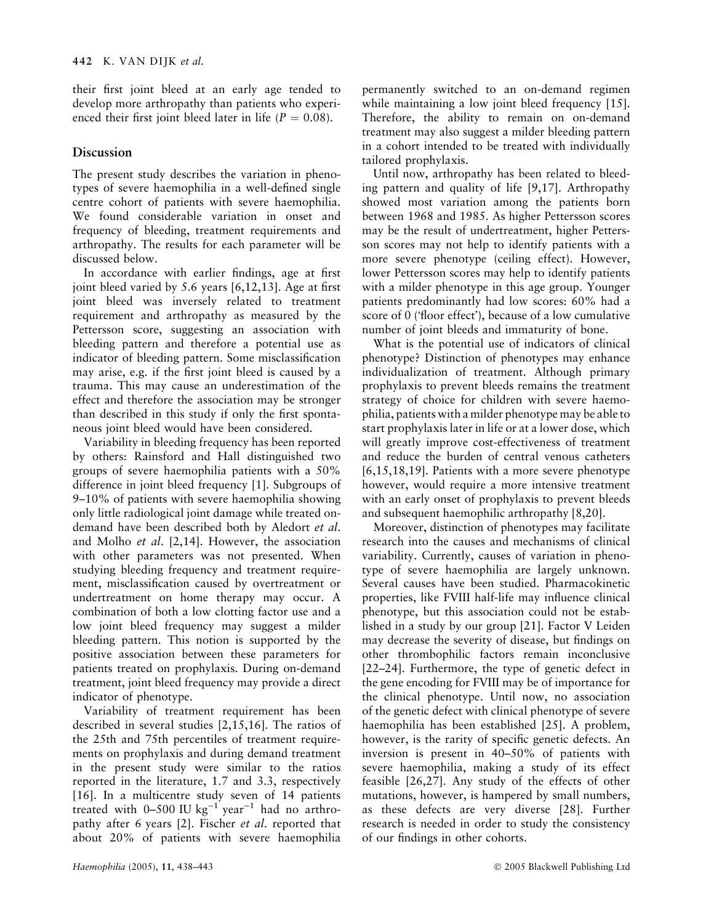their first joint bleed at an early age tended to develop more arthropathy than patients who experienced their first joint bleed later in life ( $P = 0.08$ ).

## Discussion

The present study describes the variation in phenotypes of severe haemophilia in a well-defined single centre cohort of patients with severe haemophilia. We found considerable variation in onset and frequency of bleeding, treatment requirements and arthropathy. The results for each parameter will be discussed below.

In accordance with earlier findings, age at first joint bleed varied by 5.6 years [6,12,13]. Age at first joint bleed was inversely related to treatment requirement and arthropathy as measured by the Pettersson score, suggesting an association with bleeding pattern and therefore a potential use as indicator of bleeding pattern. Some misclassification may arise, e.g. if the first joint bleed is caused by a trauma. This may cause an underestimation of the effect and therefore the association may be stronger than described in this study if only the first spontaneous joint bleed would have been considered.

Variability in bleeding frequency has been reported by others: Rainsford and Hall distinguished two groups of severe haemophilia patients with a 50% difference in joint bleed frequency [1]. Subgroups of 9–10% of patients with severe haemophilia showing only little radiological joint damage while treated ondemand have been described both by Aledort et al. and Molho et al. [2,14]. However, the association with other parameters was not presented. When studying bleeding frequency and treatment requirement, misclassification caused by overtreatment or undertreatment on home therapy may occur. A combination of both a low clotting factor use and a low joint bleed frequency may suggest a milder bleeding pattern. This notion is supported by the positive association between these parameters for patients treated on prophylaxis. During on-demand treatment, joint bleed frequency may provide a direct indicator of phenotype.

Variability of treatment requirement has been described in several studies [2,15,16]. The ratios of the 25th and 75th percentiles of treatment requirements on prophylaxis and during demand treatment in the present study were similar to the ratios reported in the literature, 1.7 and 3.3, respectively [16]. In a multicentre study seven of 14 patients treated with 0–500 IU kg<sup>-1</sup> year<sup>-1</sup> had no arthropathy after 6 years [2]. Fischer et al. reported that about 20% of patients with severe haemophilia

permanently switched to an on-demand regimen while maintaining a low joint bleed frequency [15]. Therefore, the ability to remain on on-demand treatment may also suggest a milder bleeding pattern in a cohort intended to be treated with individually tailored prophylaxis.

Until now, arthropathy has been related to bleeding pattern and quality of life [9,17]. Arthropathy showed most variation among the patients born between 1968 and 1985. As higher Pettersson scores may be the result of undertreatment, higher Pettersson scores may not help to identify patients with a more severe phenotype (ceiling effect). However, lower Pettersson scores may help to identify patients with a milder phenotype in this age group. Younger patients predominantly had low scores: 60% had a score of 0 (floor effect), because of a low cumulative number of joint bleeds and immaturity of bone.

What is the potential use of indicators of clinical phenotype? Distinction of phenotypes may enhance individualization of treatment. Although primary prophylaxis to prevent bleeds remains the treatment strategy of choice for children with severe haemophilia, patients with a milder phenotype may be able to start prophylaxis later in life or at a lower dose, which will greatly improve cost-effectiveness of treatment and reduce the burden of central venous catheters [6,15,18,19]. Patients with a more severe phenotype however, would require a more intensive treatment with an early onset of prophylaxis to prevent bleeds and subsequent haemophilic arthropathy [8,20].

Moreover, distinction of phenotypes may facilitate research into the causes and mechanisms of clinical variability. Currently, causes of variation in phenotype of severe haemophilia are largely unknown. Several causes have been studied. Pharmacokinetic properties, like FVIII half-life may influence clinical phenotype, but this association could not be established in a study by our group [21]. Factor V Leiden may decrease the severity of disease, but findings on other thrombophilic factors remain inconclusive [22–24]. Furthermore, the type of genetic defect in the gene encoding for FVIII may be of importance for the clinical phenotype. Until now, no association of the genetic defect with clinical phenotype of severe haemophilia has been established [25]. A problem, however, is the rarity of specific genetic defects. An inversion is present in 40–50% of patients with severe haemophilia, making a study of its effect feasible [26,27]. Any study of the effects of other mutations, however, is hampered by small numbers, as these defects are very diverse [28]. Further research is needed in order to study the consistency of our findings in other cohorts.